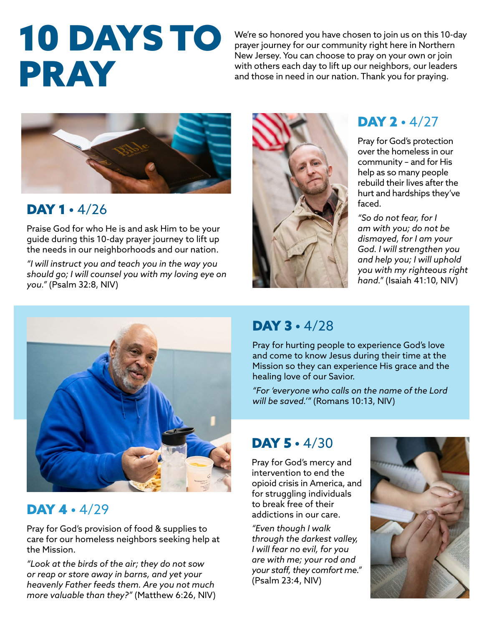# 10 DAYS TO PRAY

We're so honored you have chosen to join us on this 10-day prayer journey for our community right here in Northern New Jersey. You can choose to pray on your own or join with others each day to lift up our neighbors, our leaders and those in need in our nation. Thank you for praying.



#### DAY 1 · 4/26

Praise God for who He is and ask Him to be your guide during this 10-day prayer journey to lift up the needs in our neighborhoods and our nation.

*"I will instruct you and teach you in the way you should go; I will counsel you with my loving eye on you."* (Psalm 32:8, NIV)



# DAY 2 · 4/27

Pray for God's protection over the homeless in our community – and for His help as so many people rebuild their lives after the hurt and hardships they've faced.

*"So do not fear, for I am with you; do not be dismayed, for I am your God. I will strengthen you and help you; I will uphold you with my righteous right hand."* (Isaiah 41:10, NIV)



#### DAY 4 · 4/29

Pray for God's provision of food & supplies to care for our homeless neighbors seeking help at the Mission.

*"Look at the birds of the air; they do not sow or reap or store away in barns, and yet your heavenly Father feeds them. Are you not much more valuable than they?"* (Matthew 6:26, NIV)

### DAY 3 · 4/28

Pray for hurting people to experience God's love and come to know Jesus during their time at the Mission so they can experience His grace and the healing love of our Savior.

*"For 'everyone who calls on the name of the Lord will be saved.'"* (Romans 10:13, NIV)

# DAY 5 · 4/30

Pray for God's mercy and intervention to end the opioid crisis in America, and for struggling individuals to break free of their addictions in our care.

*"Even though I walk through the darkest valley, I will fear no evil, for you are with me; your rod and your staff, they comfort me."* (Psalm 23:4, NIV)